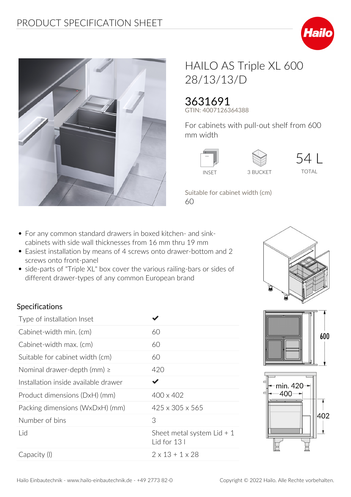



## HAILO AS Triple XL 600 28/13/13/D

## 3631691

**GTIN: 4007126364388**

**For cabinets with pull-out shelf from 600 mm width**





**54 L** TOTAL

**Suitable for cabinet width (cm)** 60

- For any common standard drawers in boxed kitchen- and sinkcabinets with side wall thicknesses from 16 mm thru 19 mm
- Easiest installation by means of 4 screws onto drawer-bottom and 2 screws onto front-panel
- side-parts of "Triple XL" box cover the various railing-bars or sides of different drawer-types of any common European brand



## **Specifications**

| Type of installation Inset           |                                             |
|--------------------------------------|---------------------------------------------|
| Cabinet-width min. (cm)              | 60                                          |
| Cabinet-width max. (cm)              | 60                                          |
| Suitable for cabinet width (cm)      | 60                                          |
| Nominal drawer-depth (mm) $\ge$      | 420                                         |
| Installation inside available drawer |                                             |
| Product dimensions (DxH) (mm)        | 400 x 402                                   |
| Packing dimensions (WxDxH) (mm)      | $425 \times 305 \times 565$                 |
| Number of bins                       | 3                                           |
| Lid                                  | Sheet metal system Lid $+1$<br>Lid for 13 I |
| Capacity (I)                         | $2 \times 13 + 1 \times 28$                 |